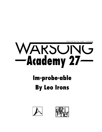



## Im-probe-able **By Leo Irons**

## WARSUNG -Academy 27

TALES FROM THE WARS™ UNIVERSE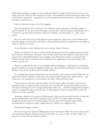When Bashrat Jahan was happy, his feet would tap. Mostly his right, but they'd both get in on it for really good news. When he was stressed, he would - often against his will, because he was fully aware of the looks it earned him - compulsively twist his shoulders and bend his arms so that the backs of his hands covered his eyes.

Lately, he had been doing a lot of foot-tapping.

The year had gotten off to a bad start, sure. Bashrat's parents thought he should be proud to attend Academy 27, the best school Cheongsa could provide. And he accepted, academically, that it was better to go there than somewhere with fewer facilities, or louder bullies, or - ugh! - more sports.

But it was still school. It was still regimented, and unpleasant, and a waste of time. Bashrat had far better things to do than learn off whatever the government's drones needed him to internalize in order to 'function in society'.

It was all going to come crashing down soon anyway. Society, that was.

Bashrat was ahead of the curve on that, and like all great geniuses, was unappreciated in his time. But he knew it in his bones. The aliens were out there, and it was only a matter of time before they arrived. How stupid all that Earth versus Gongen versus Mavericks nonsense would look then! Politics (boring, weird) would be instantly sidelined by the appearance of non-human life (cool, weird in a good way).

Maybe it would take the form of an incredible artificial intelligence, something that would make Shocho look like an overgrown telephone. Maybe the aliens would be pacificistic travelers, although Bashrat, young as he was, knew this was deeply unlikely.

No, anything that journeyed here all the way from another solar system would probably arrive in a pretty foul mood. And they would strike down all the foolish humans who opposed them… and maybe give cool superpowers to the humans who didn't. Bashrat lived in hope.

Until that day, he kept busy with his studies. Not his actual studies. He stuck to the far more important topic of extraterrestrials. Long hours spent scouring the internet had mostly resulted in the kind of 'information' even a teenage enthusiast couldn't use - a selection ranging from breathless myths to barefaced lies. But he had the drive to find whatever slivers of useful data he could. The truth was out there, probably.

Sometimes, Bashrat even carried out field research, which was his scientific term for the days his mother demanded he turn off the computer and go outside. He would wander his boring neighborhood and observe his boring neighbors and sit under his boring life support dome, knowing that he would never make a major discovery while he was trapped in here.

That had all changed yesterday.

Here he stood, in the Advanced Mathematics classroom, because Mister Xu was the only teacher who would trust Bashrat with his room. The school day was over, so only one other student was present to see him take the teacher's podium.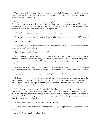Tsetseg was a quiet girl. One of those people who was mildly frightened of everything. It would have been reductive to say she was Bashrat's only friend, and vice versa. Unfortunately, 'reductive' was not the same thing as 'false'.

Still, at least his act of philanthropy wasn't going to be completely wasted. Before he brought his find to wider society, he was allowing this brief window for the students of Academy 27 to bear witness to it. If Tsetseg was the only one with the sufficient taste, intelligence, and good manners to heed his summons, well, that was everyone else's problem.

It kind of was his problem too, though, on an immediate level.

"I had a whole speech ready," he declared, powerfully, "but it feels dumb to do it if it's just you."

She smiled. "I'll listen."

"I know you will! I just mean, you know, it's just my friend Tsetseg. You don't give a speech to one person. That's called talking."

"Do you want to wait a few more minutes?"

"No," said Bashrat, and then checked the clock anyway. It was four fifteen, the exact time he had stipulated. He knew a certain percentage of attendees always arrived late, but that percentage was unlikely to be close to one hundred. "Let's just get going. The sooner I get this done, the sooner I can…"

He trailed off. Two sets of footsteps were echoing down the corridor. For a moment, he worried that his momentous event was about to be invaded by exactly the kind of student he did not invite.

Instead, he was pleasantly surprised when Kalingkata appeared in the doorframe.

He knew her boring, mortal name was Sang Mi, but he also knew that Kalingkata was a moniker she had chosen for herself, and Bashrat respected anything like that. There were a lot of titles he wished he could get other people to call him, mostly just alternatives to 'Bashrat' or 'what was the weird kid's name again?' or 'hey, loser!'.

Behind her, as ever, was her twin brother Sang Eun. Bashrat knew he had a cool hacker name too, but didn't know what it was, and the only time he had asked, Sang Eun had kinda cringed and muttered something about not playing a lot of multiplayer games anyway, which was one of several interactions Bashrat unwillingly revisited over and over again at 1AM. Sang Mi was Kalingkata and Sang Eun was apparently Sang Eun.

Bashrat grinned eagerly. "Aha! Great to have you join us!"

"Thanks!" Kalingkata returned it. "I don't get that enough. People should always say that when I enter a room."

Sang Eun loosed a quiet, brotherly sigh.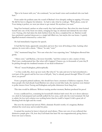"But to be honest with you," she continued, "we just heard voices and wondered who was back here."

From under the podium came the sound of Bashrat's foot abruptly ending its tapping. Of course. He did his best to disguise his irritation - he had to take what he could get. "Well, please, come in! Your timing is perfect, we were just about to get started. Sit anywhere you want."

Sang Eun hesitated, unclear on what exactly they had wandered into. But when his sister hoisted herself onto one of the front row desks, swinging her legs, he relented and claimed the next chair over. Tsetseg, who had taken the desk furthest from the door, completed the set. Bashrat would have preferred a packed classroom to a single half-filled row, but maybe this was better. A quietly dignified moment witnessed by a select few.

He had immediately forgotten his speech.

It had fled his brain, apparently unneeded, and now they were all looking at him. Lacking other options, he went with a classic. "Aliens," he said, "exist."

"Oh," murmured Sang Eun. "Not sure what else I was expecting, here." Kalingkata elbowed him gently.

"Aliens exist," said Bashrat, a bit more forcefully, "and first contact is only a matter of time. That's just a mathematical fact. But when will it happen? Chances are, in thousands of years they'll be picking through the irradiated remains of our dead civilisations-"

"Woof," mused Kalingkata, philosophically.

"-or they could, like, show up next week. But what if," he said, and now he had remembered a cool part of the speech and his foot was at full pelt, "they've already passed through? What if I could show you proof?"

From a properly primed audience, this should have been a moment of delicious suspense. From three people who had already heard Bashrat rave about several false leads, the reactions were limited to polite interest from Tsetseg and Kalingkata and polite disinterest from Sang Eun.

This time would be different. Without wasting another moment, Bashrat produced his proof.

It was a cardboard box, containing his household's thickest bath towel. He set it down sideways on a desk he had prepared and carefully pulled the box away, until only the towel remained. He had to admit, his low-tech solution was working better than he could've hoped. It did a great job of blocking both the light and the sound.

But now the moment had arrived. With a dramatic flourish worthy of a magician, Bashrat whisked the towel away and revealed his prize.

It earned the reaction he knew it deserved: awed silence. Three new sets of eyes reflected that distinctive purple glow. Oh, how they'd all thank him later! He was magnanimously giving them a front row seat to history.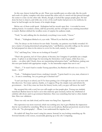In this case, history looked like an orb. There were metallic parts on either side, like the north and south of a globe, complete with what seemed like either end of a metal rod that pierced through the center to come out the other side. Mostly, though, it looked like opaque purple glass. He had done his best to clean it, and while one or two of the scuff marks had proven to be stubborn, he knew he had brought out the beauty of its simple design.

Before any of them could speak - Kalingkata had her mouth open first - it revealed its most striking feature. It sounded a chime, dull but powerful, and the soft light it was emitting intensified to match. Bashrat relished the wordless noise of surprise his audience made.

"Yeah," he said, milking this for absolutely everything it was worth, "I know."

"Woah…" Kalingkata blinked at it, eyes wide. "Where'd you find this, dude?"

"Oh, I'm always on the lookout for new finds. Yesterday, my patience was finally rewarded. It's just a matter of staying determined and getting lucky," said Bashrat, smoothly rolling out the answer he had prepared six times in the mirror to cover for the truth, namely, 'in a dump'.

"Uh," said Sang Eun, "what are we looking at? Exactly?"

"That's the question,  $\sin^2 t$  it? I have plenty of theories, but I imagine it's probably just a simple probe. A sphere is an ideal shape for traversing the frictionless void of space, while these two… nodes… on either side? Clearly, those are transmitting information back," said Bashrat, making sure this next part landed with appropriate weight, "to the interstellar empire that sent it out."

"That's…!" It wasn't hard to render Tsetseg speechless, but Bashrat still took it as a victory. "I mean… wow!"

"Yeah…" Kalingkata leaned closer, studying it intently. "I gotta hand it to you, man, whatever it is… It sure is something. Are you gonna get it checked out?"

"I can't just keep it at school, can I? I've been putting a lot of thought into who I can trust with this discovery. Not many options, frankly, so I suppose I'll go the simple route and inform the government… but if they erase me from the history books, well, you guys will know the truth!"

She accepted this with a nod, her eyes still caught on that purple glow. Tsetseg was similarly transfixed. Bashrat knew he had to savor this relatively quiet moment, before the whirlwind of celebrity talk shows and/or government blacksites. Here was something that had so often eluded him. Here was validation.

There was only one dark cloud, and his name was Sang Eun. Apparently.

His expression was more reserved, which was nothing new, but it gave Bashrat the impression that he was troubled by something. When he took out his phone, Bashrat protectively stood in front of his orb. "No photography! …Please. I can understand the impulse, but…"

He trailed off. Sang Eun wasn't using his camera. Instead, he was looking something up. He frowned intently at the screen, occasionally glancing up at the orb. Comparing.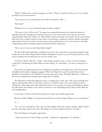"What?" Bashrat felt a tension creeping over him. "This is a brand new discovery. You couldn't possibly have seen this before."

"Not in person," he conceded, his eyes still on his phone. "But…"

"But what?"

"Bashrat, have you ever watched footage of space combat?"

"Of course I have. Who hasn't?" Gongen was sandwiched between two different breeds of capitalist dog; the self-righteous Earth government on one side and the more honest, but more unpredictable, Mavericks further out. Most citizens had at minimum seen battles via the news media, and some took a deeper interest in the tactics or technology or patriotic violence. Bashrat definitely approached it from one of those normal and common perspectives, not as an exercise in mentally comparing his planet's defenses against hypothetical alien armaments.

"Have you ever seen an anti-ship depth charge?"

He shook his head impatiently, unwilling to see how this could relate to anything. Sang Eun laid his phone on the table and pushed it forward. Kalingkata looked over, and Tsetseg craned her neck, unsure whether she should leave her seat for a better view.

"I know it's blurry. But I've... heard... these things are pretty new, so this is the best footage I could find. Considering the blast radius on these things," he said darkly, "you don't wanna get too close."

The screen was indeed pretty fuzzy. It depicted a squadron of Gongen's navy, their movements disciplined and orderly, engaging a gaggle of Maverick ships that weaved around them almost playfully. It looked like some skirmish over some deep space mine. Probably filmed by a civilian on the scene, explaining the footage's poor angle and low quality.

The Maverick vessels had impressive grace, avoiding most of the navy's fire, and eventually they zipped off unscathed. But it looked like a retreat. As nimble as they were, they had been slowly hemmed in. Their opponents had fought the battle as two groups, one trying (and failing) to match the Maverick's movements as the others lay down an ever-expanding cloud, which slowly filled the surrounding space.

It was hard to tell, but this cloud seemed to be made up of small, purple orbs.

Bashrat scoffed. "Right. So the probe looks like one of these things. Whatever. It's coincidence."

 $T_{\cdots}$ "

"Or - no. Not coincidence. They only use these depth whatevers in space combat, right? Clearly," he said, thrusting a hand at the orb, "this thing is even more advanced than we thought-"

The orb chimed, as though in agreement.

"-and it found one of those things, and, like - mimicked its appearance. It's still alien."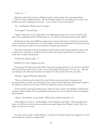"That's, uh…"

Sang Eun trailed off in the face of Bashrat's glare. Unfortunately, they outnumbered him. "…kind of a leap," finished his sister. "We know depth charges are a real thing. Not to burst your bubble, man, but everything else you said… Can you prove it came from space?"

"No," said Bashrat. "Which means I'm right."

"Come again?" she said, flatly.

"Again: if this came out of a ship while it was fighting up in space, how come I found it in the garb- in the neighborhood? If it fell from the sky, it would've just bounced off the dome. QED."

Bashrat had no idea what 'QED' was supposed to mean, but he knew it made him sound smart. It was vital that he maintained his cool. If he couldn't convince his classmates of his find, what hope had he of getting the respect he was owed from Gongen's government?

The twins looked unconvinced, but Bashrat relaxed a little when Tsetseg cleared her throat. He would need to remember to thank her in his memoirs. She always had his back, no matter how much time he spent ranting about-

"I think they might be right…?"

Bashrat's foot wasn't tapping any more.

Tsetseg wasn't having a great time either. One person paying attention to her was her social limit. Now she had three pairs of eyes on her, one of them tinged with betrayal. "It's just, um… My dad was telling me the other day that other scavengers don't always look after their, um, their..."

"Hoards," suggested Bashrat, impatiently.

"Their, uh, hoards can be seized if they don't follow correct procedure. Sometimes, the government takes custody of everything, but that's only if it looks important and they get caught by an official. He said a lot of the time, stuff from outside the dome can wind up in-"

At this juncture, Tsetseg remembered that, while she knew exactly where Bashrat conducted his searches of alien artifacts, this was privileged information not to be revealed in front of cool gamer girl classmates.

"-places," she finished, a touch lamely. "Where they could be found. By you."

"That might have been it," said Kalingkata, before Bashrat could object. "This thing falls from space to crash in the desert, and some careless scavenger brings it into Takumi's dome. They lose track of it, and now it's here."

"So what you're saying," scoffed Bashrat, "is that the cool thing I found, and wrapped in a towel, and brought into school, is a huge bomb."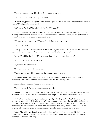There was an uncomfortable silence for a couple of seconds.

Then the bomb ticked, and they all screamed.

"Guys! Guys, please!" Sang Eun - who had managed to scream the least - fought to make himself heard. "Don't panic! Bashrat is right."

"Of course I'm right!" he yelled, calmly. "…Which part?"

"We should assume it only landed recently, and only got picked up and brought into the dome recently. But even then, you said you found this yesterday. You kept it overnight, for god's sake, and it hasn't gone off yet. It might be completely inert."

"Th-that would be great," said Tsetseg, "but if that's true, why does it-?"

The bomb ticked.

Tsetseg squeaked, abandoning the sentence for Kalingkata to pick up. "Yeah, no. It's definitely doing that more frequently. And if it was a dud, it wouldn't be doing it at all."

"Agreed," said her brother. "We have some time, it's just not clear how long."

"But it could be, like, three seconds."

"I guess we can't rule it out-"

"So we have to assume it is three seconds."

Tsetseg made a noise like a mouse getting stepped on very slowly.

"It's not a bomb," said Bashrat, so determined to regain control that he ignored his own screaming. "It's a probe from an interstellar empire, and it's perfectly safe!"

Kalingkata met his gaze. "Dude, even if it was a probe-"

The bomb ticked. Tsetseg groaned, as though seasick.

"-and it's not! But even if it was, couldn't it still be dangerous? It could have some kind of funky radiation, for one thing. And you keep calling it an 'empire'! That doesn't sound safe either!!"

Bashrat's arms did the thing. He had done a good job fending it off so far, but the compulsion grew too strong and needed to be sated. After a moment of pressing the backs of his hands against his eyes, he told himself, he would have an amazing idea. He would regain control of this situation, somehow, and this would all just be an amusing footnote. Something he could chat about in the interviews he would one day give as the solar system's foremost authority on alien life.

"Okay," he said, even though he was still in the dark in more than one sense. He had to take charge, even if his arms weren't responding yet and he also had no idea where this next sentence would go. "There's clearly only-"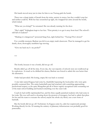His hands moved away just in time for him to see Tsetseg grab the bomb.

There was a sharp intake of breath from the twins, anxiety in stereo, but they couldn't stop her and neither could he. With her face scrunched up tight, she wrapped her arms around the bomb, which ticked.

"What are you doing?!" he screamed. She was already running for the door.

"She's right!" Kalingkata leapt to her feet. "First priority is to get it away from here! The school's still full of students!"

"Shaking it is dangerous!" protested Sang Eun, right behind her. "Tsetseg! Put it down!"

For a terrible moment, Bashrat was left in an empty math classroom. Then he managed to get his dumb, short, thoroughly unathletic legs moving.

"Give me back my b- my probe!!"

\*\*\*

The bomb, because it was a bomb, did not go off.

Bombs didn't go off all the time. Every day, the vast majority of schools were not swallowed up by explosions. As much as he disliked his classes, Bashrat was forced to admit this was better than the alternative.

Order had prevailed. His boring, empty life was back to normal.

A nice lady named Kaguya had come by, thankfully bypassing the local police who were quite possibly contacted first. The entire basketball team had watched, with something approaching professional respect, as the quiet Mongolian girl all of them vaguely recognized came screaming out of the main school building and hucked something over the outer wall.

Coach Jo had swiftly reprimanded her, and the three equally panicked students who had come in her wake. She was well-used to shouting down the protests of teenagers, but had to admit that pleas for her and the team to evacuate the school, maybe the whole city block, was a new form of backtalk.

But the bomb did not go off. Technician Au Kaguya came by, calm but suspiciously prompt. Working directly for the AI running the entirety of planetary infrastructure was probably good for punctuality.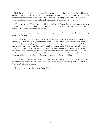With the help of two high-end drones, she examined and contained the bomb. They whisked it away somewhere while she stayed behind to conduct a series of quick and quiet interviews. She was not forthcoming about what the object actually was, but they extrapolated what they needed to know from her assurances that it had already been rendered mostly (mostly.) inert.

Of course, that could have been an insidious, barefaced lie from a shadowy government operative meant to rob a free-thinking citizen of his incredible find. But Bashrat was too demoralized to really believe that. A mental reflex with no real weight.

It was over. He had dared to believe in his dreams, and now, they were crushed. In other words, an average Tuesday.

After everything that happened, what did he even have to show for it? Well, aside from the knowledge that his best friend, despite appearances, had both an ability to act decisively under pressure and a surprisingly good throwing arm. And how Kalingkata and Sang Eun… well, they weren't quite friends now, but they hadn't completely written him off as a dangerous idiot either, despite good reason to. And how Kaguya, having taken pity on him, had decided to handle the whole affair with discretion, on the condition that Bashrat and the others do the same. The staff and much, much more importantly the student body wouldn't know too much about his blunder. Bashrat could continue to show his face at the school, which he had not blown up.

Aside from all that stuff, what was he even left with? No alien technology, and an assured place on some government watchlist, Shocho storing his details down in a directory marked 'Terrorists, Accidental'. Life was so unfair.

He was going to keep the next artifact to himself.